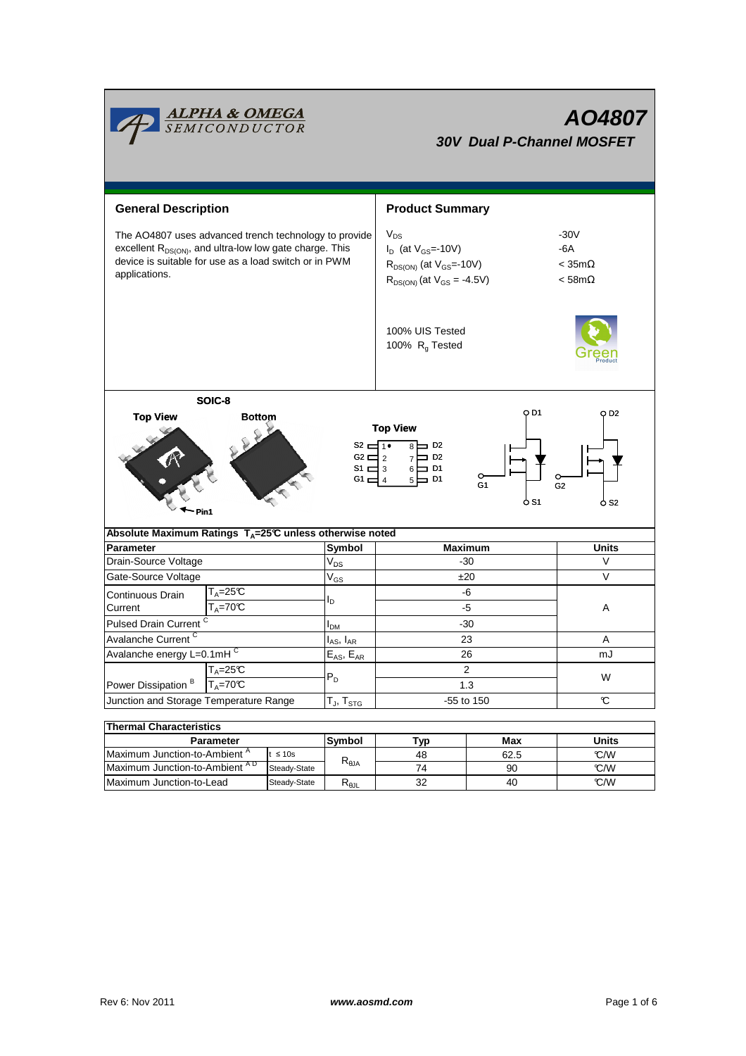| <b>ALPHA &amp; OMEGA</b><br>SEMICONDUCTOR<br>AO4807<br><b>30V Dual P-Channel MOSFET</b>                                                                                                                                                                           |             |                |                                      |                                                                                                                  |                                                       |            |  |  |  |  |
|-------------------------------------------------------------------------------------------------------------------------------------------------------------------------------------------------------------------------------------------------------------------|-------------|----------------|--------------------------------------|------------------------------------------------------------------------------------------------------------------|-------------------------------------------------------|------------|--|--|--|--|
| <b>General Description</b>                                                                                                                                                                                                                                        |             |                | <b>Product Summary</b>               |                                                                                                                  |                                                       |            |  |  |  |  |
| The AO4807 uses advanced trench technology to provide<br>excellent R <sub>DS(ON)</sub> , and ultra-low low gate charge. This<br>device is suitable for use as a load switch or in PWM<br>applications.                                                            |             |                |                                      | $V_{DS}$<br>$I_D$ (at $V_{GS}$ = 10V)<br>$R_{DS(ON)}$ (at $V_{GS}$ =-10V)<br>$R_{DS(ON)}$ (at $V_{GS} = -4.5V$ ) | $-30V$<br>-6A<br>$<$ 35m $\Omega$<br>$<$ 58m $\Omega$ |            |  |  |  |  |
|                                                                                                                                                                                                                                                                   |             |                | 100% UIS Tested<br>100% $R_g$ Tested |                                                                                                                  |                                                       |            |  |  |  |  |
| SOIC-8<br>O D1<br>O D2<br><b>Top View</b><br><b>Bottom</b><br><b>Top View</b><br>$S2 = 1$<br>$8 \Box$ D <sub>2</sub><br>7 □ D2<br>$G2 \square$ 2<br>$6 \Box$ D1<br>S1 $\Box$ 3<br>5 k<br>G1 ⊏<br>D1 ב<br>G <sub>1</sub><br>G <sub>2</sub><br>O S1<br>O S2<br>Pin1 |             |                |                                      |                                                                                                                  |                                                       |            |  |  |  |  |
| Absolute Maximum Ratings $T_A = 25^\circ \text{C}$ unless otherwise noted                                                                                                                                                                                         |             |                |                                      |                                                                                                                  |                                                       |            |  |  |  |  |
| Parameter                                                                                                                                                                                                                                                         |             |                | Symbol                               | <b>Maximum</b><br>-30                                                                                            |                                                       | Units<br>V |  |  |  |  |
| Drain-Source Voltage                                                                                                                                                                                                                                              |             |                | $V_{DS}$                             | ±20                                                                                                              |                                                       | V          |  |  |  |  |
| Gate-Source Voltage                                                                                                                                                                                                                                               |             |                | $V_{GS}$                             |                                                                                                                  |                                                       |            |  |  |  |  |
| Continuous Drain                                                                                                                                                                                                                                                  | $T_A = 25C$ |                | lD.                                  | -6<br>-5                                                                                                         |                                                       |            |  |  |  |  |
| $T_A = 70^\circ C$<br>Current                                                                                                                                                                                                                                     |             |                |                                      |                                                                                                                  | A                                                     |            |  |  |  |  |
| Pulsed Drain Current <sup>C</sup>                                                                                                                                                                                                                                 |             |                | I <sub>DM</sub>                      | -30                                                                                                              |                                                       |            |  |  |  |  |
| Avalanche Current <sup>C</sup>                                                                                                                                                                                                                                    |             |                | $I_{AS}$ , $I_{AR}$                  | 23                                                                                                               |                                                       | Α          |  |  |  |  |
| Avalanche energy L=0.1mH                                                                                                                                                                                                                                          |             |                | $E_{AS}$ , $E_{AR}$                  | 26<br>mJ                                                                                                         |                                                       |            |  |  |  |  |
| $T_A = 25C$<br>Power Dissipation <sup>B</sup><br>$T_A = 70^\circ C$                                                                                                                                                                                               |             |                | $P_D$                                | 2<br>1.3                                                                                                         |                                                       | W          |  |  |  |  |
| Junction and Storage Temperature Range                                                                                                                                                                                                                            |             |                | $T_J$ , $T_{STG}$                    | -55 to 150                                                                                                       |                                                       | C          |  |  |  |  |
|                                                                                                                                                                                                                                                                   |             |                |                                      |                                                                                                                  |                                                       |            |  |  |  |  |
| <b>Thermal Characteristics</b>                                                                                                                                                                                                                                    |             |                |                                      |                                                                                                                  |                                                       |            |  |  |  |  |
| Parameter                                                                                                                                                                                                                                                         |             | Symbol         | <b>Typ</b>                           | Max                                                                                                              | <b>Units</b>                                          |            |  |  |  |  |
| Maximum Junction-to-Ambient <sup>A</sup><br>t $\leq 10$ s                                                                                                                                                                                                         |             | $R_{\theta$ JA | 48                                   | 62.5                                                                                                             | °C/W                                                  |            |  |  |  |  |
| Maximum Junction-to-Ambient AD<br>Steady-State                                                                                                                                                                                                                    |             |                | 74                                   | 90                                                                                                               | °C/W                                                  |            |  |  |  |  |

Steady-State  $R_{\theta J L}$  32 40

32

Maximum Junction-to-Lead Steady-State  $R_{\theta JL}$  32 40 6 °C/W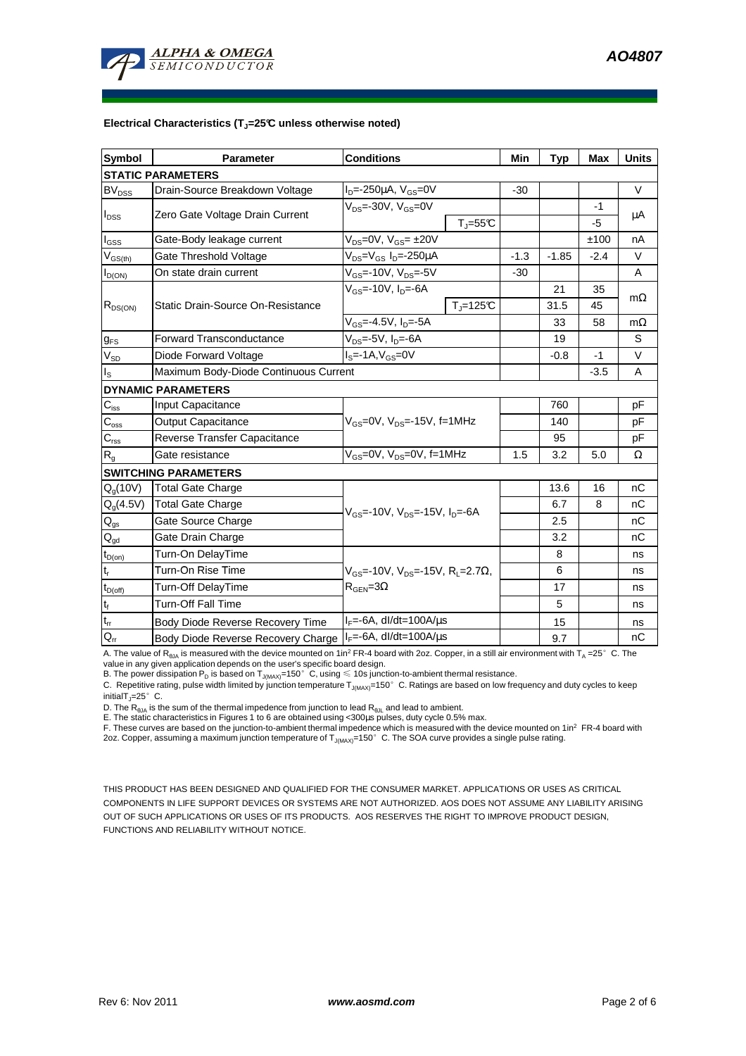

#### **Electrical Characteristics (TJ=25°C unless otherwise noted)**

| <b>Symbol</b>                           | <b>Parameter</b>                      | <b>Conditions</b>                                                                                 |                         | Min     | <b>Typ</b> | Max    | <b>Units</b> |  |  |  |  |  |
|-----------------------------------------|---------------------------------------|---------------------------------------------------------------------------------------------------|-------------------------|---------|------------|--------|--------------|--|--|--|--|--|
| <b>STATIC PARAMETERS</b>                |                                       |                                                                                                   |                         |         |            |        |              |  |  |  |  |  |
| <b>BV<sub>DSS</sub></b>                 | Drain-Source Breakdown Voltage        | $I_{D} = -250 \mu A$ , $V_{GS} = 0V$                                                              |                         | $-30$   |            |        | $\vee$       |  |  |  |  |  |
| $I_{\text{DSS}}$                        | Zero Gate Voltage Drain Current       | $V_{DS}$ =-30V, $V_{GS}$ =0V                                                                      |                         |         |            | -1     |              |  |  |  |  |  |
|                                         |                                       |                                                                                                   | $T_{\parallel} = 55$ °C |         |            | $-5$   | μA           |  |  |  |  |  |
| $I_{GS}$                                | Gate-Body leakage current             | $V_{DS}$ =0V, $V_{GS}$ = ±20V                                                                     |                         |         |            | ±100   | nA           |  |  |  |  |  |
| $\mathsf{V}_{\mathsf{GS}(\mathsf{th})}$ | Gate Threshold Voltage                | V <sub>DS</sub> =V <sub>GS</sub> I <sub>D</sub> =-250µA                                           | $-1.3$                  | $-1.85$ | $-2.4$     | $\vee$ |              |  |  |  |  |  |
| $I_{D(ON)}$                             | On state drain current                | V <sub>GS</sub> =-10V, V <sub>DS</sub> =-5V                                                       |                         | $-30$   |            |        | A            |  |  |  |  |  |
| $R_{DS(ON)}$                            |                                       | $V_{GS}$ =-10V, I <sub>D</sub> =-6A                                                               |                         |         | 21         | 35     |              |  |  |  |  |  |
|                                         | Static Drain-Source On-Resistance     |                                                                                                   | $T = 125C$              |         | 31.5       | 45     | $m\Omega$    |  |  |  |  |  |
|                                         |                                       | $V_{GS} = -4.5V$ , $I_D = -5A$                                                                    |                         |         | 33         | 58     | $m\Omega$    |  |  |  |  |  |
| $g_{FS}$                                | <b>Forward Transconductance</b>       | $V_{DS}$ =-5V, $I_D$ =-6A                                                                         |                         |         | 19         |        | S            |  |  |  |  |  |
| $V_{SD}$                                | Diode Forward Voltage                 | $IS=-1A, VGS=0V$                                                                                  |                         |         | $-0.8$     | -1     | $\vee$       |  |  |  |  |  |
| $I_{\rm S}$                             | Maximum Body-Diode Continuous Current |                                                                                                   |                         | $-3.5$  | A          |        |              |  |  |  |  |  |
|                                         | <b>DYNAMIC PARAMETERS</b>             |                                                                                                   |                         |         |            |        |              |  |  |  |  |  |
| $C_{\text{iss}}$                        | Input Capacitance                     |                                                                                                   |                         |         | 760        |        | pF           |  |  |  |  |  |
| $C_{\rm oss}$                           | <b>Output Capacitance</b>             | $V_{GS}$ =0V, $V_{DS}$ =-15V, f=1MHz                                                              |                         |         | 140        |        | pF           |  |  |  |  |  |
| $C_{\rm rss}$                           | Reverse Transfer Capacitance          |                                                                                                   |                         |         | 95         |        | pF           |  |  |  |  |  |
| $R_{g}$                                 | Gate resistance                       | $\overline{V_{GS}}$ =0V, V <sub>DS</sub> =0V, f=1MHz                                              |                         | 1.5     | 3.2        | 5.0    | Ω            |  |  |  |  |  |
|                                         | <b>SWITCHING PARAMETERS</b>           |                                                                                                   |                         |         |            |        |              |  |  |  |  |  |
| $Q_q(10V)$                              | <b>Total Gate Charge</b>              | $V_{GS}$ =-10V, $V_{DS}$ =-15V, $I_{D}$ =-6A                                                      |                         |         | 13.6       | 16     | nC           |  |  |  |  |  |
| $Q_g(4.5\sqrt{)}$                       | <b>Total Gate Charge</b>              |                                                                                                   |                         |         | 6.7        | 8      | nC           |  |  |  |  |  |
| $\mathsf{Q}_{\text{gs}}$                | Gate Source Charge                    |                                                                                                   |                         |         | 2.5        |        | nС           |  |  |  |  |  |
| $Q_{gd}$                                | Gate Drain Charge                     |                                                                                                   |                         |         | 3.2        |        | nC           |  |  |  |  |  |
| $t_{D(0n)}$                             | Turn-On DelayTime                     | $V_{\text{GS}}$ =-10V, V <sub>DS</sub> =-15V, R <sub>L</sub> =2.7Ω,<br>$R_{\text{GEN}} = 3\Omega$ |                         |         | 8          |        | ns           |  |  |  |  |  |
| $t_r$                                   | Turn-On Rise Time                     |                                                                                                   |                         |         | 6          |        | ns           |  |  |  |  |  |
| $t_{D(off)}$                            | Turn-Off DelayTime                    |                                                                                                   |                         |         | 17         |        | ns           |  |  |  |  |  |
| $\mathbf{t}_\text{f}$                   | <b>Turn-Off Fall Time</b>             |                                                                                                   |                         | 5       |            | ns     |              |  |  |  |  |  |
| $t_{rr}$                                | Body Diode Reverse Recovery Time      | $I_F = -6A$ , dl/dt=100A/ $\mu$ s                                                                 |                         |         | 15         |        | ns           |  |  |  |  |  |
| $Q_{rr}$                                | Body Diode Reverse Recovery Charge    | $I_F = -6A$ , dl/dt=100A/us                                                                       |                         | 9.7     |            | nC     |              |  |  |  |  |  |

A. The value of  $R_{\thetaJA}$  is measured with the device mounted on 1in<sup>2</sup> FR-4 board with 2oz. Copper, in a still air environment with T<sub>A</sub> =25°C. The

value in any given application depends on the user's specific board design.<br>B. The power dissipation P<sub>D</sub> is based on T<sub>J(MAX)</sub>=150°C, using ≤ 10s junction-to-ambient thermal resistance.

C. Repetitive rating, pulse width limited by junction temperature  $T_{J(MAX)}$ =150°C. Ratings are based on low frequency and duty cycles to keep initialT $_{\text{I}}$ =25°C.

D. The  $R_{\theta JA}$  is the sum of the thermal impedence from junction to lead  $R_{\theta JL}$  and lead to ambient.

E. The static characteristics in Figures 1 to 6 are obtained using <300us pulses, duty cycle 0.5% max.

F. These curves are based on the junction-to-ambient thermal impedence which is measured with the device mounted on 1in<sup>2</sup> FR-4 board with 2oz. Copper, assuming a maximum junction temperature of  $T_{J(MAX)}$ =150°C. The SOA curve provides a single pulse rating.

THIS PRODUCT HAS BEEN DESIGNED AND QUALIFIED FOR THE CONSUMER MARKET. APPLICATIONS OR USES AS CRITICAL COMPONENTS IN LIFE SUPPORT DEVICES OR SYSTEMS ARE NOT AUTHORIZED. AOS DOES NOT ASSUME ANY LIABILITY ARISING OUT OF SUCH APPLICATIONS OR USES OF ITS PRODUCTS. AOS RESERVES THE RIGHT TO IMPROVE PRODUCT DESIGN, FUNCTIONS AND RELIABILITY WITHOUT NOTICE.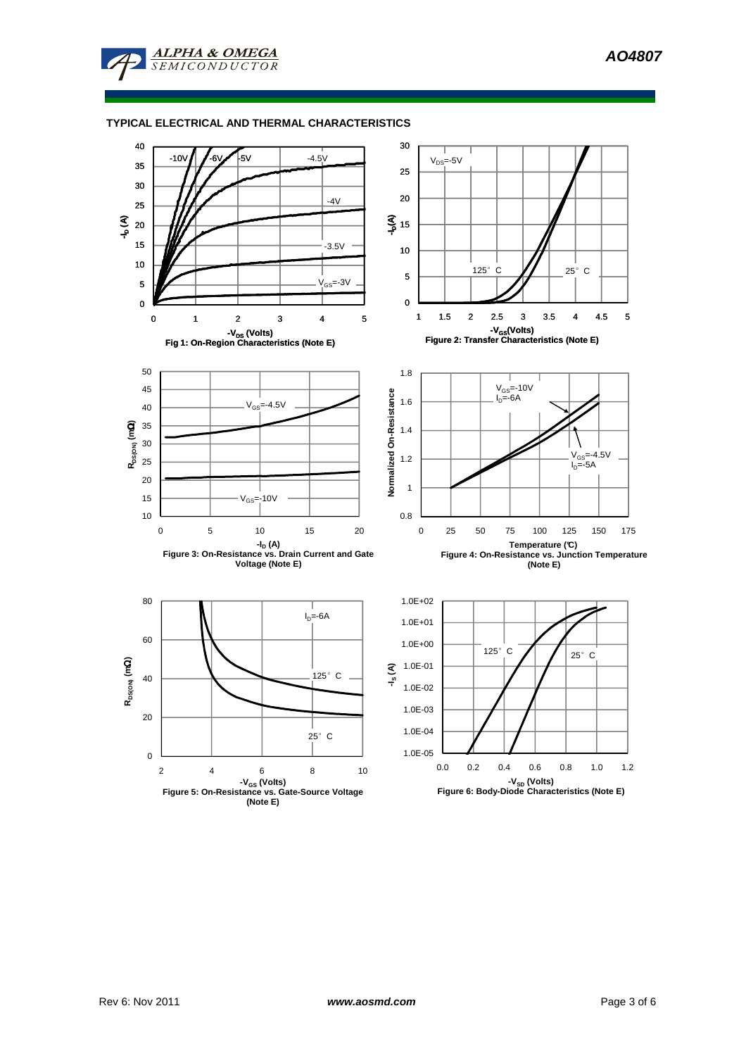**AO4807** 



### **TYPICAL ELECTRICAL AND THERMAL CHARACTERISTICS**

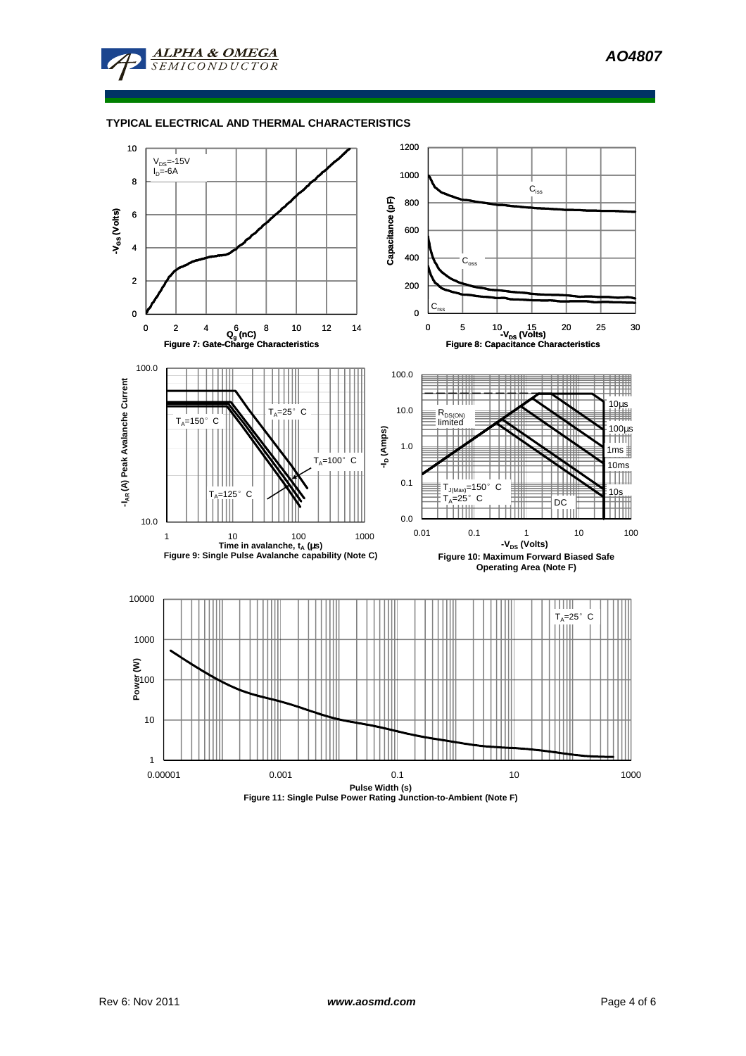**AO4807** 



### **TYPICAL ELECTRICAL AND THERMAL CHARACTERISTICS**

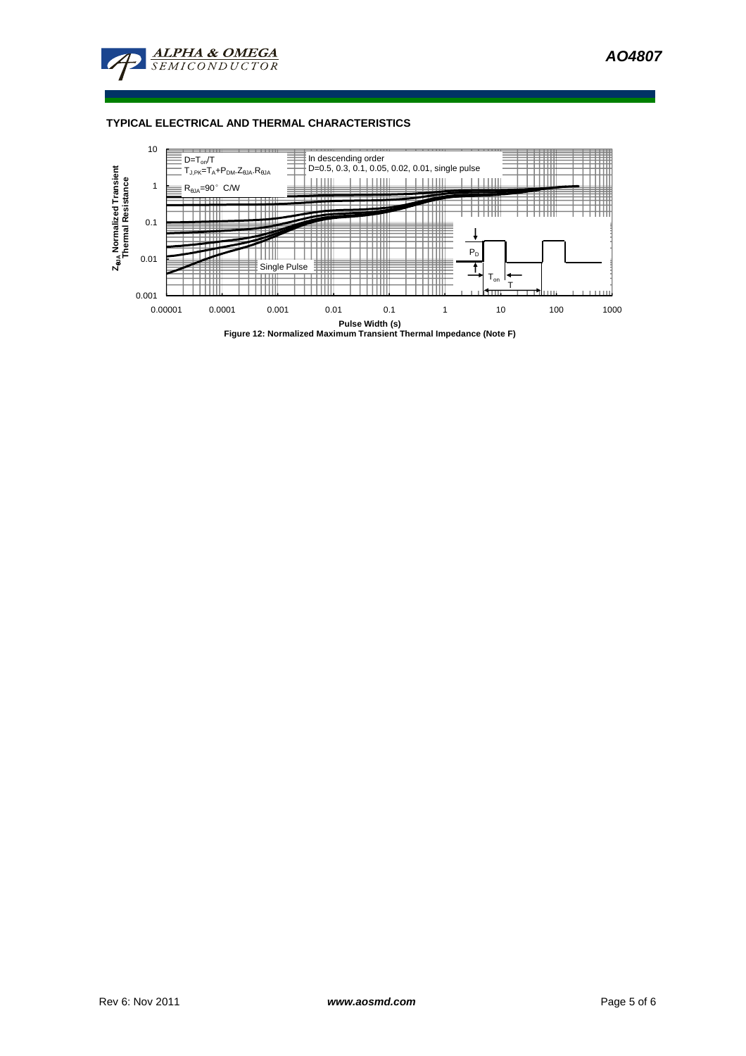

### **TYPICAL ELECTRICAL AND THERMAL CHARACTERISTICS**